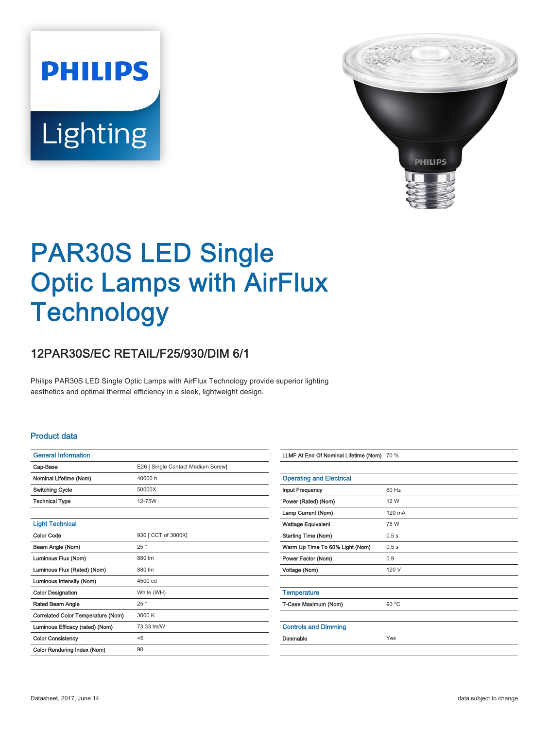**PHILIPS** Lighting



# PAR30S LED Single Optic Lamps with AirFlux **Technology**

## 12PAR30S/EC RETAIL/F25/930/DIM 6/1

Philips PAR30S LED Single Optic Lamps with AirFlux Technology provide superior lighting aesthetics and optimal thermal efficiency in a sleek, lightweight design.

## Product data

| <b>General Information</b>         |                                    |  |
|------------------------------------|------------------------------------|--|
| Cap-Base                           | E26 [ Single Contact Medium Screw] |  |
| Nominal Lifetime (Nom)             | 40000 h                            |  |
| <b>Switching Cycle</b>             | 50000X                             |  |
| <b>Technical Type</b>              | 12-75W                             |  |
|                                    |                                    |  |
| <b>Light Technical</b>             |                                    |  |
| <b>Color Code</b>                  | 930 [ CCT of 3000K]                |  |
| Beam Angle (Nom)                   | 25°                                |  |
| Luminous Flux (Nom)                | 880 lm                             |  |
| Luminous Flux (Rated) (Nom)        | 880 lm                             |  |
| Luminous Intensity (Nom)           | 4500 cd                            |  |
| <b>Color Designation</b>           | White (WH)                         |  |
| Rated Beam Angle                   | 25°                                |  |
| Correlated Color Temperature (Nom) | 3000 K                             |  |
| Luminous Efficacy (rated) (Nom)    | 73.33 lm/W                         |  |
| <b>Color Consistency</b>           | < 6                                |  |
| Color Rendering Index (Nom)        | 90                                 |  |

| LLMF At End Of Nominal Lifetime (Nom) 70 % |        |
|--------------------------------------------|--------|
|                                            |        |
| <b>Operating and Electrical</b>            |        |
| <b>Input Frequency</b>                     | 60 Hz  |
| Power (Rated) (Nom)                        | 12 W   |
| Lamp Current (Nom)                         | 120 mA |
| <b>Wattage Equivalent</b>                  | 75 W   |
| <b>Starting Time (Nom)</b>                 | 0.5s   |
| Warm Up Time To 60% Light (Nom)            | 0.5s   |
| Power Factor (Nom)                         | 0.9    |
| Voltage (Nom)                              | 120 V  |
|                                            |        |
| <b>Temperature</b>                         |        |
| T-Case Maximum (Nom)                       | 90 °C  |
|                                            |        |
| <b>Controls and Dimming</b>                |        |
| Dimmable                                   | Yes    |
|                                            |        |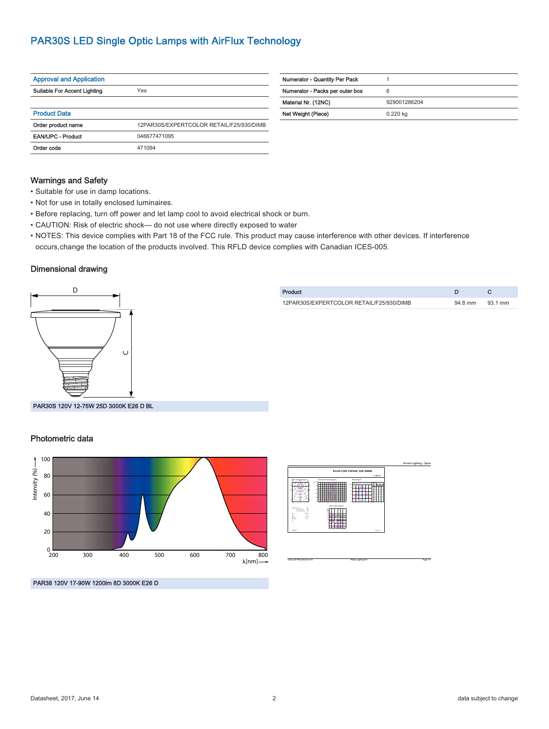## PAR30S LED Single Optic Lamps with AirFlux Technology

| <b>Approval and Application</b> |                                          |  |
|---------------------------------|------------------------------------------|--|
| Suitable For Accent Lighting    | Yes                                      |  |
|                                 |                                          |  |
| <b>Product Data</b>             |                                          |  |
| Order product name              | 12PAR30S/EXPERTCOLOR RETAIL/F25/930/DIMB |  |
| <b>EAN/UPC - Product</b>        | 046677471095                             |  |
| Order code                      | 471094                                   |  |

| <b>Numerator - Quantity Per Pack</b> |              |
|--------------------------------------|--------------|
| Numerator - Packs per outer box      | 6            |
| Material Nr. (12NC)                  | 929001286204 |
| Net Weight (Piece)                   | $0.220$ kg   |
|                                      |              |

Product D C 12PAR30S/EXPERTCOLOR RETAIL/F25/930/DIMB 94.8 mm 93.1 mm

## Warnings and Safety

- Suitable for use in damp locations.
- Not for use in totally enclosed luminaires.
- Before replacing, turn off power and let lamp cool to avoid electrical shock or burn.
- CAUTION: Risk of electric shock— do not use where directly exposed to water
- NOTES: This device complies with Part 18 of the FCC rule. This product may cause interference with other devices. If interference occurs,change the location of the products involved. This RFLD device complies with Canadian ICES-005.

### Dimensional drawing



PAR30S 120V 12-75W 25D 3000K E26 D BL

### Photometric data



|                                                                                                                              |                                                           |                                                                                                                                                                 | Accent Lighting - Spots |
|------------------------------------------------------------------------------------------------------------------------------|-----------------------------------------------------------|-----------------------------------------------------------------------------------------------------------------------------------------------------------------|-------------------------|
|                                                                                                                              | Par30-12W-120VAC 25D 3000K                                |                                                                                                                                                                 |                         |
|                                                                                                                              |                                                           | $1 \times 000$ km                                                                                                                                               |                         |
| Polar intensity diagram<br>æ<br>≂                                                                                            | Cartesian intensity diagram<br>٠<br>÷                     | <b>Beam dagram</b><br>the age in the<br><b>Service Service</b><br>m<br>i a<br>×<br>×<br><b>SER</b><br><b>Contract Contract</b><br>12 22 13 24 25 26 27<br>$-24$ |                         |
| <b><i>MERCHANICA</i></b><br>--<br>tomment. 100<br><b>AND</b><br><b>Hotel</b><br>(1, 2)<br>覅<br>2.77<br>×.<br><b>Killedge</b> | <b>Visual impact diagram</b><br>not the box road out<br>u | <b>January</b>                                                                                                                                                  |                         |

CalcuLuX Photometrics 4.5 Philips Lighting B.V. Page: 1/1

PAR38 120V 17-90W 1200lm 8D 3000K E26 D